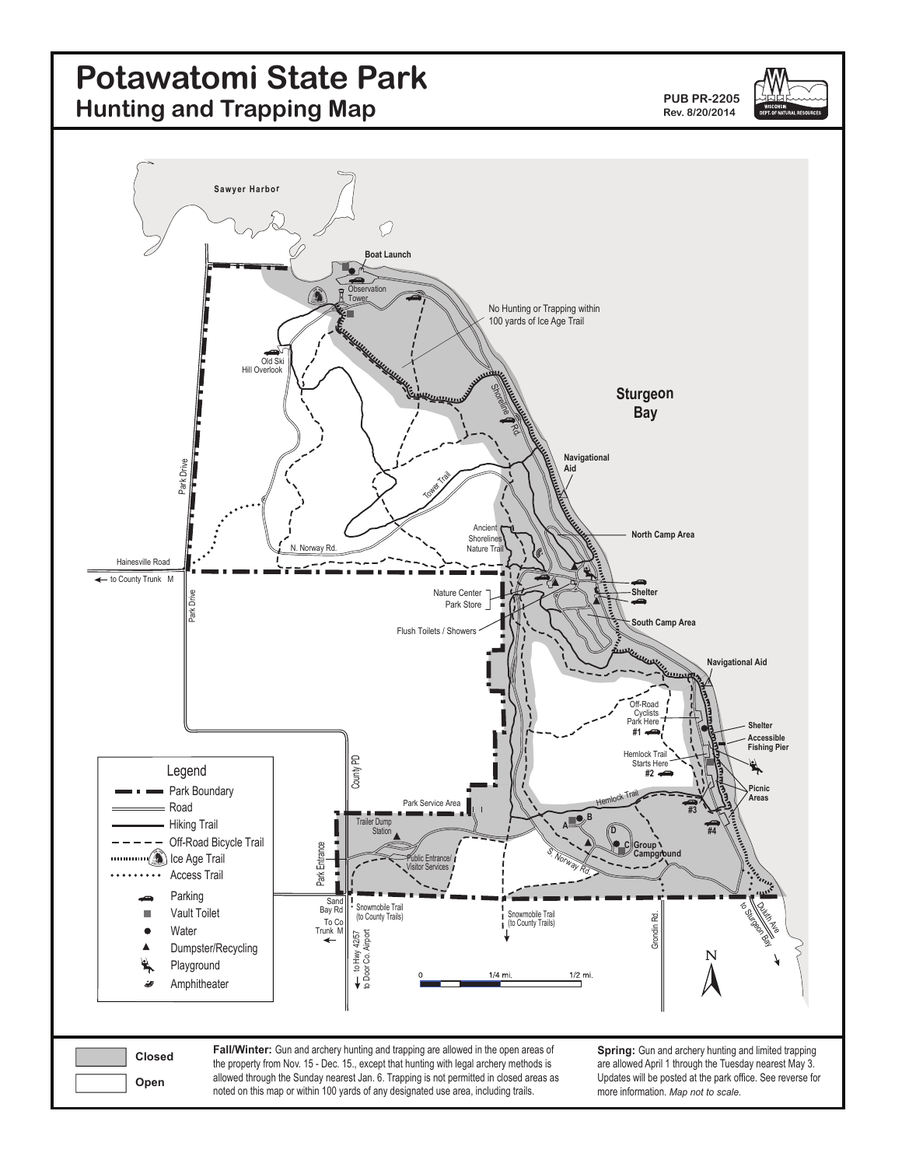# **Potawatomi State Park Hunting and Trapping Map**

**PUB PR-2205 Rev. 8/20/2014**